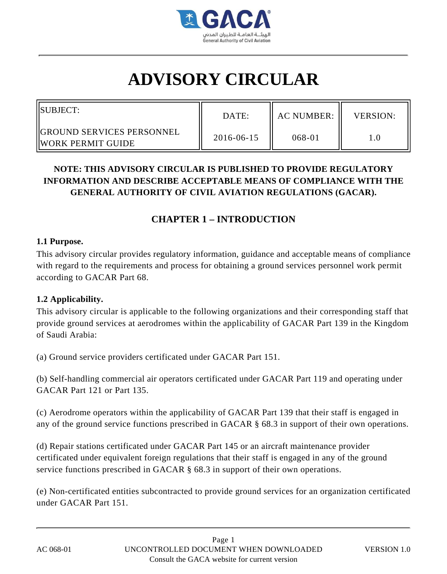

# **ADVISORY CIRCULAR**

| <b>ISUBJECT:</b>                                         | DATE:      | <b>AC NUMBER:</b> | <b>VERSION:</b> |
|----------------------------------------------------------|------------|-------------------|-----------------|
| <b>IGROUND SERVICES PERSONNEL</b><br>IIWORK PERMIT GUIDE | 2016-06-15 | 068-01            |                 |

# **NOTE: THIS ADVISORY CIRCULAR IS PUBLISHED TO PROVIDE REGULATORY INFORMATION AND DESCRIBE ACCEPTABLE MEANS OF COMPLIANCE WITH THE GENERAL AUTHORITY OF CIVIL AVIATION REGULATIONS (GACAR).**

# **CHAPTER 1 – INTRODUCTION**

#### **1.1 Purpose.**

This advisory circular provides regulatory information, guidance and acceptable means of compliance with regard to the requirements and process for obtaining a ground services personnel work permit according to GACAR Part 68.

#### **1.2 Applicability.**

This advisory circular is applicable to the following organizations and their corresponding staff that provide ground services at aerodromes within the applicability of GACAR Part 139 in the Kingdom of Saudi Arabia:

(a) Ground service providers certificated under GACAR Part 151.

(b) Self-handling commercial air operators certificated under GACAR Part 119 and operating under GACAR Part 121 or Part 135.

(c) Aerodrome operators within the applicability of GACAR Part 139 that their staff is engaged in any of the ground service functions prescribed in GACAR § 68.3 in support of their own operations.

(d) Repair stations certificated under GACAR Part 145 or an aircraft maintenance provider certificated under equivalent foreign regulations that their staff is engaged in any of the ground service functions prescribed in GACAR § 68.3 in support of their own operations.

(e) Non-certificated entities subcontracted to provide ground services for an organization certificated under GACAR Part 151.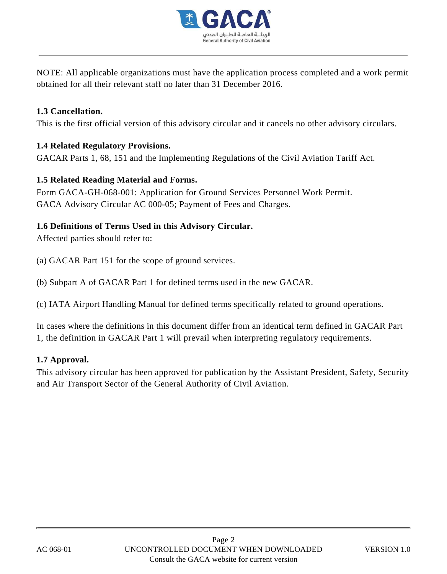

NOTE: All applicable organizations must have the application process completed and a work permit obtained for all their relevant staff no later than 31 December 2016.

## **1.3 Cancellation.**

This is the first official version of this advisory circular and it cancels no other advisory circulars.

# **1.4 Related Regulatory Provisions.**

GACAR Parts 1, 68, 151 and the Implementing Regulations of the Civil Aviation Tariff Act.

# **1.5 Related Reading Material and Forms.**

Form GACA-GH-068-001: Application for Ground Services Personnel Work Permit. GACA Advisory Circular AC 000-05; Payment of Fees and Charges.

# **1.6 Definitions of Terms Used in this Advisory Circular.**

Affected parties should refer to:

(a) GACAR Part 151 for the scope of ground services.

(b) Subpart A of GACAR Part 1 for defined terms used in the new GACAR.

(c) IATA Airport Handling Manual for defined terms specifically related to ground operations.

In cases where the definitions in this document differ from an identical term defined in GACAR Part 1, the definition in GACAR Part 1 will prevail when interpreting regulatory requirements.

#### **1.7 Approval.**

This advisory circular has been approved for publication by the Assistant President, Safety, Security and Air Transport Sector of the General Authority of Civil Aviation.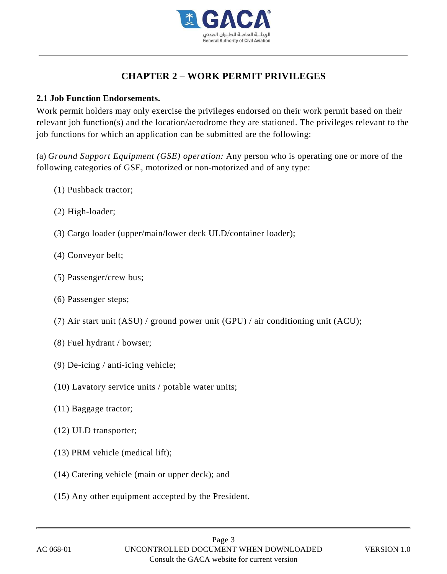

# **CHAPTER 2 – WORK PERMIT PRIVILEGES**

## **2.1 Job Function Endorsements.**

Work permit holders may only exercise the privileges endorsed on their work permit based on their relevant job function(s) and the location/aerodrome they are stationed. The privileges relevant to the job functions for which an application can be submitted are the following:

(a) *Ground Support Equipment (GSE) operation:* Any person who is operating one or more of the following categories of GSE, motorized or non-motorized and of any type:

- (1) Pushback tractor;
- (2) High-loader;
- (3) Cargo loader (upper/main/lower deck ULD/container loader);
- (4) Conveyor belt;
- (5) Passenger/crew bus;
- (6) Passenger steps;
- (7) Air start unit (ASU) / ground power unit (GPU) / air conditioning unit (ACU);
- (8) Fuel hydrant / bowser;
- (9) De-icing / anti-icing vehicle;
- (10) Lavatory service units / potable water units;
- (11) Baggage tractor;
- (12) ULD transporter;
- (13) PRM vehicle (medical lift);
- (14) Catering vehicle (main or upper deck); and
- (15) Any other equipment accepted by the President.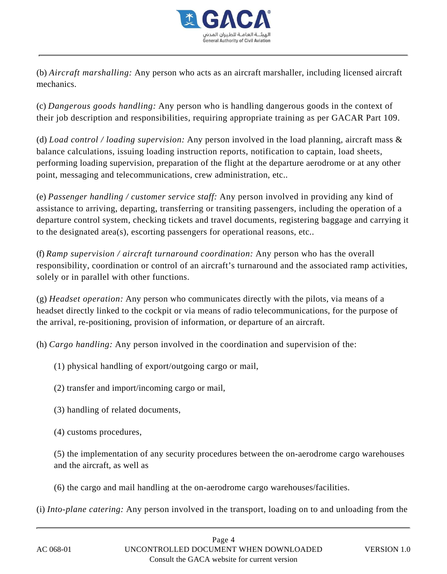

(b) *Aircraft marshalling:* Any person who acts as an aircraft marshaller, including licensed aircraft mechanics.

(c) *Dangerous goods handling:* Any person who is handling dangerous goods in the context of their job description and responsibilities, requiring appropriate training as per GACAR Part 109.

(d) *Load control / loading supervision:* Any person involved in the load planning, aircraft mass & balance calculations, issuing loading instruction reports, notification to captain, load sheets, performing loading supervision, preparation of the flight at the departure aerodrome or at any other point, messaging and telecommunications, crew administration, etc..

(e) *Passenger handling / customer service staff:* Any person involved in providing any kind of assistance to arriving, departing, transferring or transiting passengers, including the operation of a departure control system, checking tickets and travel documents, registering baggage and carrying it to the designated area(s), escorting passengers for operational reasons, etc..

(f) *Ramp supervision / aircraft turnaround coordination:* Any person who has the overall responsibility, coordination or control of an aircraft's turnaround and the associated ramp activities, solely or in parallel with other functions.

(g) *Headset operation:* Any person who communicates directly with the pilots, via means of a headset directly linked to the cockpit or via means of radio telecommunications, for the purpose of the arrival, re-positioning, provision of information, or departure of an aircraft.

(h) *Cargo handling:* Any person involved in the coordination and supervision of the:

- (1) physical handling of export/outgoing cargo or mail,
- (2) transfer and import/incoming cargo or mail,
- (3) handling of related documents,
- (4) customs procedures,

(5) the implementation of any security procedures between the on-aerodrome cargo warehouses and the aircraft, as well as

(6) the cargo and mail handling at the on-aerodrome cargo warehouses/facilities.

(i) *Into-plane catering:* Any person involved in the transport, loading on to and unloading from the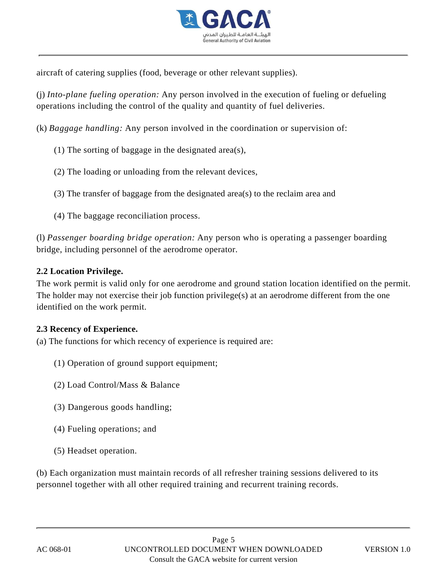

aircraft of catering supplies (food, beverage or other relevant supplies).

(j) *Into-plane fueling operation:* Any person involved in the execution of fueling or defueling operations including the control of the quality and quantity of fuel deliveries.

(k) *Baggage handling:* Any person involved in the coordination or supervision of:

- (1) The sorting of baggage in the designated area(s),
- (2) The loading or unloading from the relevant devices,
- (3) The transfer of baggage from the designated area(s) to the reclaim area and
- (4) The baggage reconciliation process.

(l) *Passenger boarding bridge operation:* Any person who is operating a passenger boarding bridge, including personnel of the aerodrome operator.

#### **2.2 Location Privilege.**

The work permit is valid only for one aerodrome and ground station location identified on the permit. The holder may not exercise their job function privilege(s) at an aerodrome different from the one identified on the work permit.

#### **2.3 Recency of Experience.**

- (a) The functions for which recency of experience is required are:
	- (1) Operation of ground support equipment;
	- (2) Load Control/Mass & Balance
	- (3) Dangerous goods handling;
	- (4) Fueling operations; and
	- (5) Headset operation.

(b) Each organization must maintain records of all refresher training sessions delivered to its personnel together with all other required training and recurrent training records.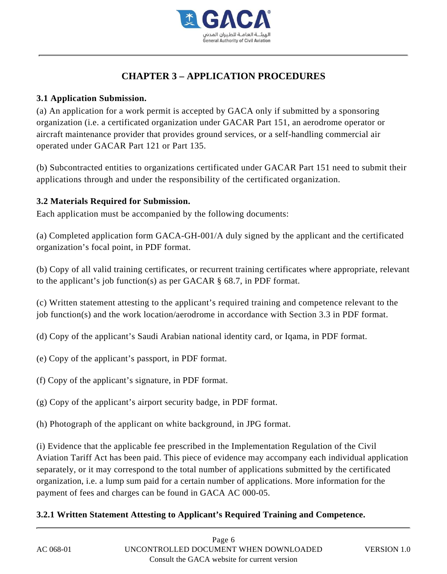

# **CHAPTER 3 – APPLICATION PROCEDURES**

# **3.1 Application Submission.**

(a) An application for a work permit is accepted by GACA only if submitted by a sponsoring organization (i.e. a certificated organization under GACAR Part 151, an aerodrome operator or aircraft maintenance provider that provides ground services, or a self-handling commercial air operated under GACAR Part 121 or Part 135.

(b) Subcontracted entities to organizations certificated under GACAR Part 151 need to submit their applications through and under the responsibility of the certificated organization.

# **3.2 Materials Required for Submission.**

Each application must be accompanied by the following documents:

(a) Completed application form GACA-GH-001/A duly signed by the applicant and the certificated organization's focal point, in PDF format.

(b) Copy of all valid training certificates, or recurrent training certificates where appropriate, relevant to the applicant's job function(s) as per GACAR § 68.7, in PDF format.

(c) Written statement attesting to the applicant's required training and competence relevant to the job function(s) and the work location/aerodrome in accordance with Section 3.3 in PDF format.

(d) Copy of the applicant's Saudi Arabian national identity card, or Iqama, in PDF format.

- (e) Copy of the applicant's passport, in PDF format.
- (f) Copy of the applicant's signature, in PDF format.
- (g) Copy of the applicant's airport security badge, in PDF format.
- (h) Photograph of the applicant on white background, in JPG format.

(i) Evidence that the applicable fee prescribed in the Implementation Regulation of the Civil Aviation Tariff Act has been paid. This piece of evidence may accompany each individual application separately, or it may correspond to the total number of applications submitted by the certificated organization, i.e. a lump sum paid for a certain number of applications. More information for the payment of fees and charges can be found in GACA AC 000-05.

# **3.2.1 Written Statement Attesting to Applicant's Required Training and Competence.**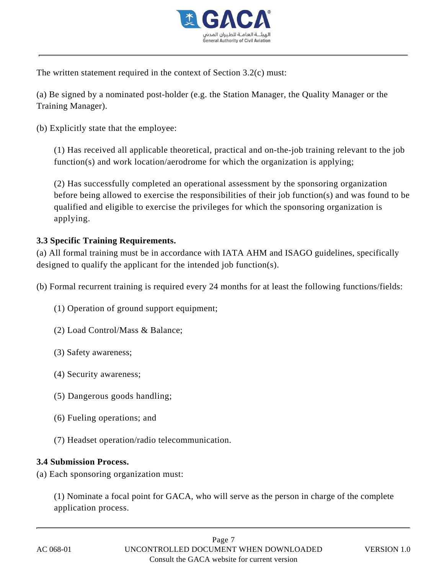

The written statement required in the context of Section 3.2(c) must:

(a) Be signed by a nominated post-holder (e.g. the Station Manager, the Quality Manager or the Training Manager).

(b) Explicitly state that the employee:

(1) Has received all applicable theoretical, practical and on-the-job training relevant to the job function(s) and work location/aerodrome for which the organization is applying;

(2) Has successfully completed an operational assessment by the sponsoring organization before being allowed to exercise the responsibilities of their job function(s) and was found to be qualified and eligible to exercise the privileges for which the sponsoring organization is applying.

# **3.3 Specific Training Requirements.**

(a) All formal training must be in accordance with IATA AHM and ISAGO guidelines, specifically designed to qualify the applicant for the intended job function(s).

(b) Formal recurrent training is required every 24 months for at least the following functions/fields:

(1) Operation of ground support equipment;

- (2) Load Control/Mass & Balance;
- (3) Safety awareness;
- (4) Security awareness;
- (5) Dangerous goods handling;
- (6) Fueling operations; and
- (7) Headset operation/radio telecommunication.

#### **3.4 Submission Process.**

(a) Each sponsoring organization must:

(1) Nominate a focal point for GACA, who will serve as the person in charge of the complete application process.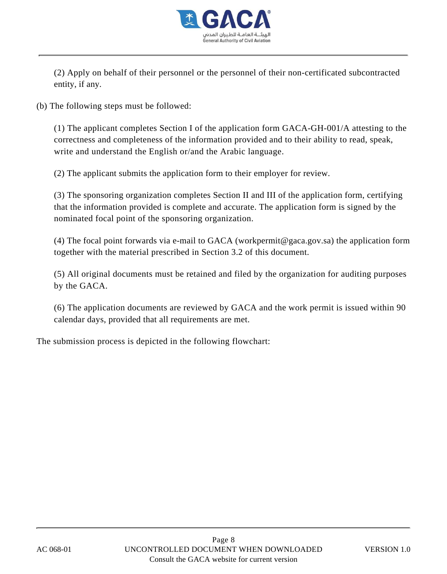

(2) Apply on behalf of their personnel or the personnel of their non-certificated subcontracted entity, if any.

(b) The following steps must be followed:

(1) The applicant completes Section I of the application form GACA-GH-001/A attesting to the correctness and completeness of the information provided and to their ability to read, speak, write and understand the English or/and the Arabic language.

(2) The applicant submits the application form to their employer for review.

(3) The sponsoring organization completes Section II and III of the application form, certifying that the information provided is complete and accurate. The application form is signed by the nominated focal point of the sponsoring organization.

(4) The focal point forwards via e-mail to GACA (workpermit@gaca.gov.sa) the application form together with the material prescribed in Section 3.2 of this document.

(5) All original documents must be retained and filed by the organization for auditing purposes by the GACA.

(6) The application documents are reviewed by GACA and the work permit is issued within 90 calendar days, provided that all requirements are met.

The submission process is depicted in the following flowchart: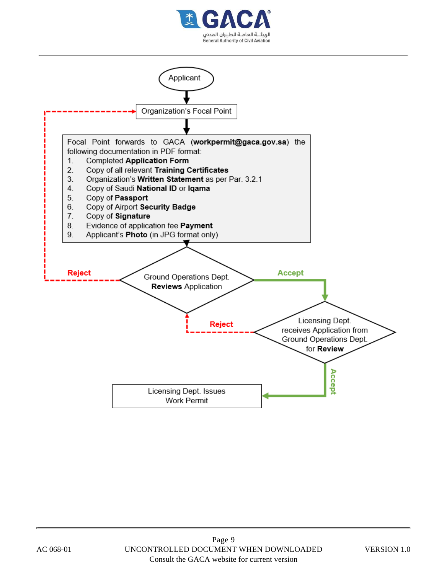

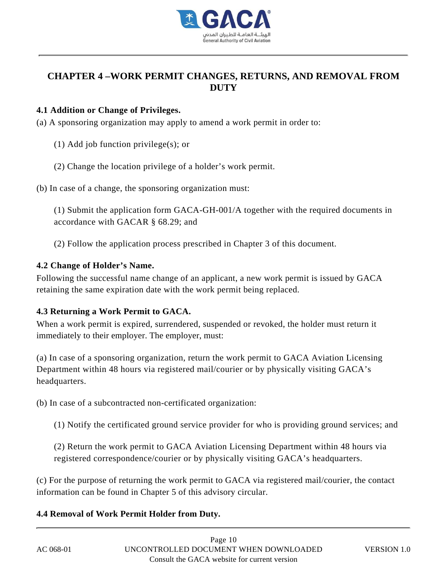

# **CHAPTER 4 –WORK PERMIT CHANGES, RETURNS, AND REMOVAL FROM DUTY**

## **4.1 Addition or Change of Privileges.**

- (a) A sponsoring organization may apply to amend a work permit in order to:
	- (1) Add job function privilege(s); or
	- (2) Change the location privilege of a holder's work permit.

(b) In case of a change, the sponsoring organization must:

(1) Submit the application form GACA-GH-001/A together with the required documents in accordance with GACAR § 68.29; and

(2) Follow the application process prescribed in Chapter 3 of this document.

# **4.2 Change of Holder's Name.**

Following the successful name change of an applicant, a new work permit is issued by GACA retaining the same expiration date with the work permit being replaced.

# **4.3 Returning a Work Permit to GACA.**

When a work permit is expired, surrendered, suspended or revoked, the holder must return it immediately to their employer. The employer, must:

(a) In case of a sponsoring organization, return the work permit to GACA Aviation Licensing Department within 48 hours via registered mail/courier or by physically visiting GACA's headquarters.

(b) In case of a subcontracted non-certificated organization:

(1) Notify the certificated ground service provider for who is providing ground services; and

(2) Return the work permit to GACA Aviation Licensing Department within 48 hours via registered correspondence/courier or by physically visiting GACA's headquarters.

(c) For the purpose of returning the work permit to GACA via registered mail/courier, the contact information can be found in Chapter 5 of this advisory circular.

# **4.4 Removal of Work Permit Holder from Duty.**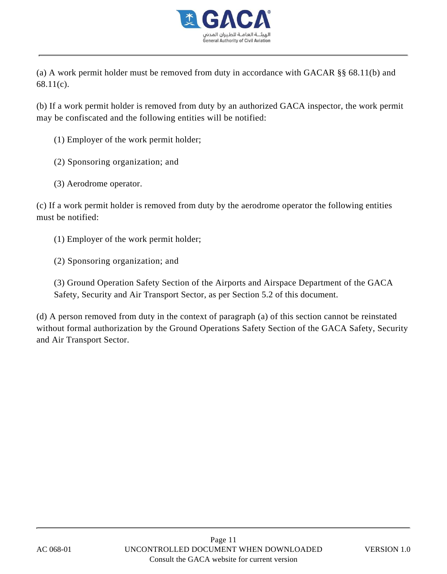

(a) A work permit holder must be removed from duty in accordance with GACAR §§ 68.11(b) and 68.11(c).

(b) If a work permit holder is removed from duty by an authorized GACA inspector, the work permit may be confiscated and the following entities will be notified:

- (1) Employer of the work permit holder;
- (2) Sponsoring organization; and
- (3) Aerodrome operator.

(c) If a work permit holder is removed from duty by the aerodrome operator the following entities must be notified:

- (1) Employer of the work permit holder;
- (2) Sponsoring organization; and

(3) Ground Operation Safety Section of the Airports and Airspace Department of the GACA Safety, Security and Air Transport Sector, as per Section 5.2 of this document.

(d) A person removed from duty in the context of paragraph (a) of this section cannot be reinstated without formal authorization by the Ground Operations Safety Section of the GACA Safety, Security and Air Transport Sector.